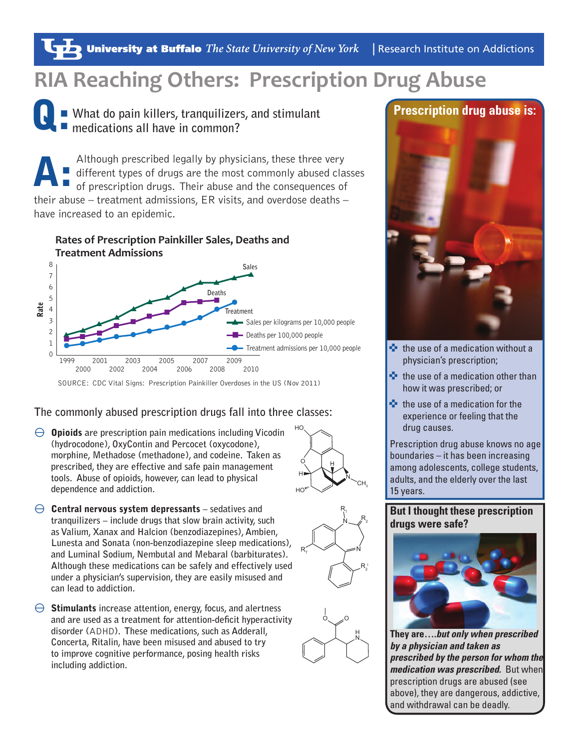**University at Buffalo** The State University of New York  $\vert$  Research Institute on Addictions

# **RIA Reaching Others: Prescription Drug Abuse**

### **What do pain killers, tranquilizers, and stimulant medications all have in common?** Q:

Although prescribed legally by physicians, these three very  $\blacksquare$  different types of drugs are the most commonly abused classes of prescription drugs. Their abuse and the consequences of their abuse – treatment admissions, ER visits, and overdose deaths – have increased to an epidemic. A:

**Rates of Prescription Painkiller Sales, Deaths and Treatment Admissions**



**The commonly abused prescription drugs fall into three classes:**

 $\Theta$  **Opioids** are prescription pain medications including Vicodin **(hydrocodone), OxyContin and Percocet (oxycodone), morphine, Methadose (methadone), and codeine. Taken as prescribed, they are effective and safe pain management tools. Abuse of opioids, however, can lead to physical dependence and addiction.**



 $N_{\sim}$  $R_{2}$ Ŗ,

> N  $R_{2}^{\prime}$ l

H N

o 20

R,

- $\Theta$  **Central nervous system depressants** sedatives and **tranquilizers – include drugs that slow brain activity, such as Valium, Xanax and Halcion (benzodiazepines), Ambien, Lunesta and Sonata (non-benzodiazepine sleep medications), and Luminal Sodium, Nembutal and Mebaral (barbiturates). Although these medications can be safely and effectively used under a physician's supervision, they are easily misused and can lead to addiction.**
- $\Theta$  **Stimulants** increase attention, energy, focus, and alertness **and are used as a treatment for attention-deficit hyperactivity disorder (**ADHD**). These medications, such as Adderall, Concerta, Ritalin, have been misused and abused to try to improve cognitive performance, posing health risks including addiction.**

# **Prescription drug abuse is:**



- **<sup>■</sup> the use of a medication without a** physician's prescription;
- $\bullet$  the use of a medication other than how it was prescribed; or
- $\div$  the use of a medication for the experience or feeling that the drug causes.

Prescription drug abuse knows no age boundaries – it has been increasing among adolescents, college students, adults, and the elderly over the last 15 years.

#### **But I thought these prescription drugs were safe?**



**They are….***but only when prescribed by a physician and taken as prescribed by the person for whom the medication was prescribed.* But when prescription drugs are abused (see above), they are dangerous, addictive, and withdrawal can be deadly.